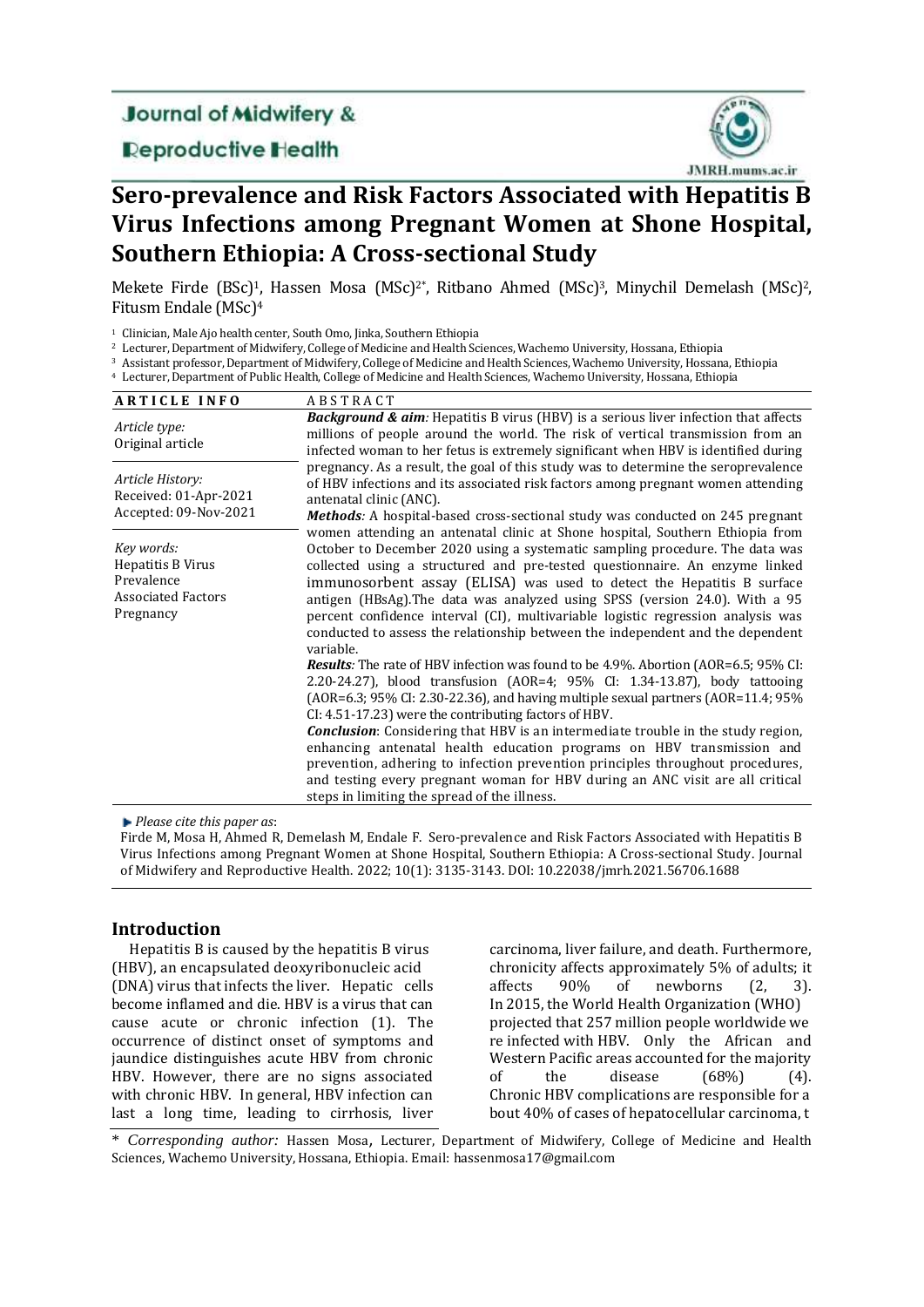# **Journal of Midwifery &**

## **Deproductive Health**



# **Sero-prevalence and Risk Factors Associated with Hepatitis B Virus Infections among Pregnant Women at Shone Hospital, Southern Ethiopia: A Cross-sectional Study**

Mekete Firde (BSc)<sup>1</sup>, Hassen Mosa (MSc)<sup>2\*</sup>, Ritbano Ahmed (MSc)<sup>3</sup>, Minychil Demelash (MSc)<sup>2</sup>, Fitusm Endale (MSc)<sup>4</sup>

- <sup>3</sup> Assistant professor, Department of Midwifery, College of Medicine and Health Sciences, Wachemo University, Hossana, Ethiopia
- <sup>4</sup> Lecturer, Department of Public Health, College of Medicine and Health Sciences, Wachemo University, Hossana, Ethiopia

| <b>ARTICLE INFO</b>                                                                     | <b>ABSTRACT</b>                                                                                                                                                                                                                                                                                                                                                                                                                                                                                                                                                                                                                                                                                                                                                                                                                                                                                                                                                                                                |  |  |
|-----------------------------------------------------------------------------------------|----------------------------------------------------------------------------------------------------------------------------------------------------------------------------------------------------------------------------------------------------------------------------------------------------------------------------------------------------------------------------------------------------------------------------------------------------------------------------------------------------------------------------------------------------------------------------------------------------------------------------------------------------------------------------------------------------------------------------------------------------------------------------------------------------------------------------------------------------------------------------------------------------------------------------------------------------------------------------------------------------------------|--|--|
| Article type:<br>Original article                                                       | <b>Background &amp; aim:</b> Hepatitis B virus (HBV) is a serious liver infection that affects<br>millions of people around the world. The risk of vertical transmission from an<br>infected woman to her fetus is extremely significant when HBV is identified during                                                                                                                                                                                                                                                                                                                                                                                                                                                                                                                                                                                                                                                                                                                                         |  |  |
| Article History:<br>Received: 01-Apr-2021<br>Accepted: 09-Nov-2021                      | pregnancy. As a result, the goal of this study was to determine the seroprevalence<br>of HBV infections and its associated risk factors among pregnant women attending<br>antenatal clinic (ANC).<br><b>Methods:</b> A hospital-based cross-sectional study was conducted on 245 pregnant                                                                                                                                                                                                                                                                                                                                                                                                                                                                                                                                                                                                                                                                                                                      |  |  |
| Key words:<br>Hepatitis B Virus<br>Prevalence<br><b>Associated Factors</b><br>Pregnancy | women attending an antenatal clinic at Shone hospital, Southern Ethiopia from<br>October to December 2020 using a systematic sampling procedure. The data was<br>collected using a structured and pre-tested questionnaire. An enzyme linked<br>immunosorbent assay (ELISA) was used to detect the Hepatitis B surface<br>antigen (HBsAg). The data was analyzed using SPSS (version 24.0). With a 95<br>percent confidence interval (CI), multivariable logistic regression analysis was<br>conducted to assess the relationship between the independent and the dependent<br>variable.<br><b>Results:</b> The rate of HBV infection was found to be 4.9%. Abortion (AOR=6.5; 95% CI:<br>2.20-24.27), blood transfusion (AOR=4; 95% CI: 1.34-13.87), body tattooing<br>(AOR=6.3; 95% CI: 2.30-22.36), and having multiple sexual partners (AOR=11.4; 95%<br>CI: 4.51-17.23) were the contributing factors of HBV.<br><b>Conclusion</b> : Considering that HBV is an intermediate trouble in the study region, |  |  |
|                                                                                         | enhancing antenatal health education programs on HBV transmission and<br>prevention, adhering to infection prevention principles throughout procedures,<br>and testing every pregnant woman for HBV during an ANC visit are all critical<br>steps in limiting the spread of the illness.                                                                                                                                                                                                                                                                                                                                                                                                                                                                                                                                                                                                                                                                                                                       |  |  |

*Please cite this paper as*:

Firde M, Mosa H, Ahmed R, Demelash M, Endale F. Sero-prevalence and Risk Factors Associated with Hepatitis B Virus Infections among Pregnant Women at Shone Hospital, Southern Ethiopia: A Cross-sectional Study. Journal of Midwifery and Reproductive Health. 2022; 10(1): 3135-3143. DOI: 10.22038/jmrh.2021.56706.1688

## **Introduction**

Hepatitis B is caused by the hepatitis B virus (HBV), an encapsulated deoxyribonucleic acid (DNA) virus that infects the liver. Hepatic cells become inflamed and die. HBV is a virus that can cause acute or chronic infection (1). The occurrence of distinct onset of symptoms and jaundice distinguishes acute HBV from chronic HBV. However, there are no signs associated with chronic HBV. In general, HBV infection can last a long time, leading to cirrhosis, liver carcinoma, liver failure, and death. Furthermore, chronicity affects approximately 5% of adults; it affects 90% of newborns (2, 3). In 2015, the World Health Organization (WHO) projected that 257 million people worldwide we re infected with HBV. Only the African and Western Pacific areas accounted for the majority of the disease (68%) (4). Chronic HBV complications are responsible for a bout 40% of cases of hepatocellular carcinoma, t

\* *Corresponding author:* Hassen Mosa, Lecturer, Department of Midwifery, College of Medicine and Health Sciences, Wachemo University, Hossana, Ethiopia. Email: hassenmosa17@gmail.com

<sup>1</sup> Clinician, Male Ajo health center, South Omo, Jinka, Southern Ethiopia

<sup>2</sup> Lecturer, Department of Midwifery, College of Medicine and Health Sciences, Wachemo University, Hossana, Ethiopia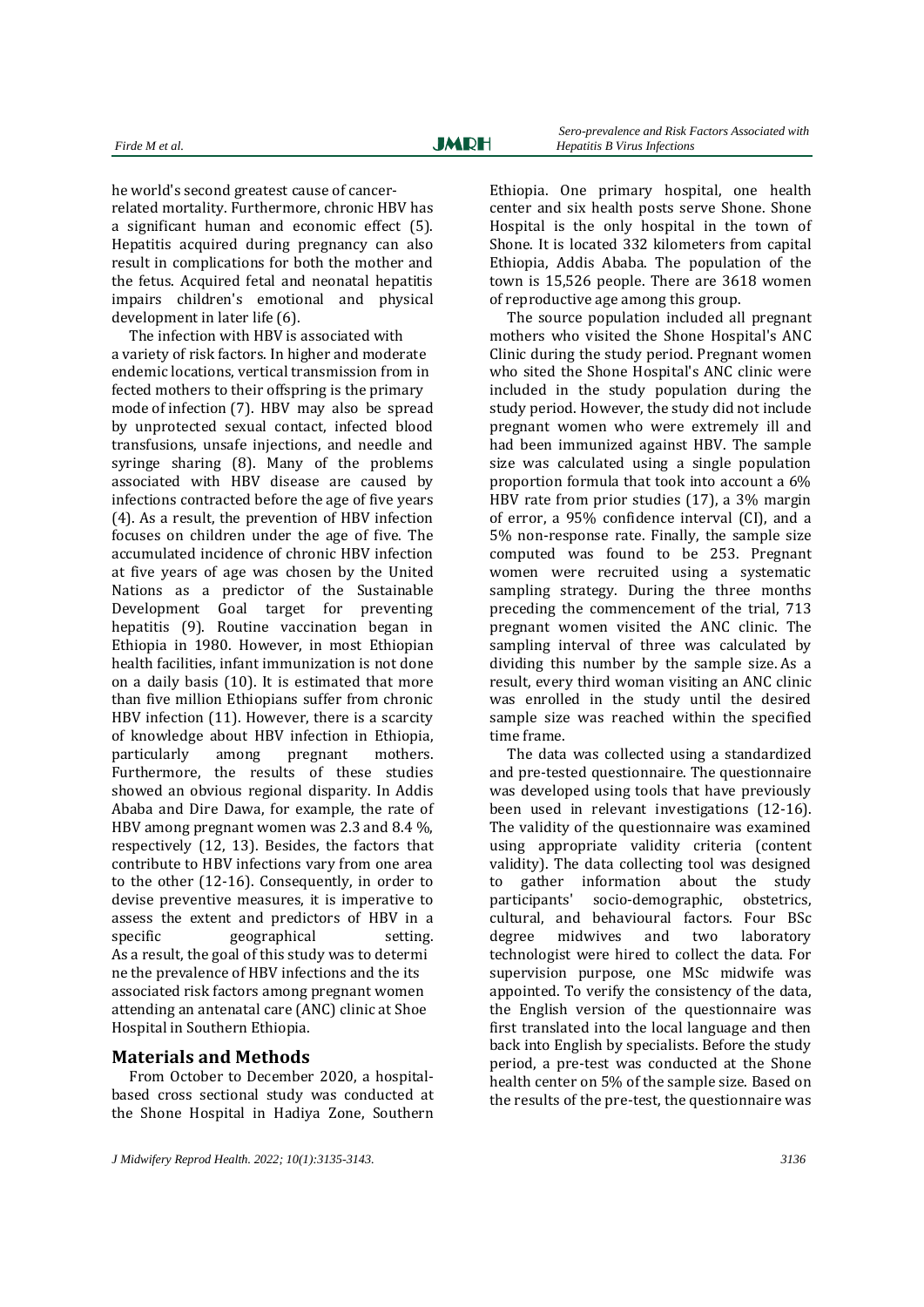he world's second greatest cause of cancerrelated mortality. Furthermore, chronic HBV has a significant human and economic effect (5). Hepatitis acquired during pregnancy can also result in complications for both the mother and the fetus. Acquired fetal and neonatal hepatitis impairs children's emotional and physical development in later life (6).

The infection with HBV is associated with a variety of risk factors. In higher and moderate endemic locations, vertical transmission from in fected mothers to their offspring is the primary mode of infection (7). HBV may also be spread by unprotected sexual contact, infected blood transfusions, unsafe injections, and needle and syringe sharing (8). Many of the problems associated with HBV disease are caused by infections contracted before the age of five years (4). As a result, the prevention of HBV infection focuses on children under the age of five. The accumulated incidence of chronic HBV infection at five years of age was chosen by the United Nations as a predictor of the Sustainable Development Goal target for preventing hepatitis (9). Routine vaccination began in Ethiopia in 1980. However, in most Ethiopian health facilities, infant immunization is not done on a daily basis (10). It is estimated that more than five million Ethiopians suffer from chronic HBV infection (11). However, there is a scarcity of knowledge about HBV infection in Ethiopia, particularly among pregnant mothers. Furthermore, the results of these studies showed an obvious regional disparity. In Addis Ababa and Dire Dawa, for example, the rate of HBV among pregnant women was 2.3 and 8.4 %, respectively (12, 13). Besides, the factors that contribute to HBV infections vary from one area to the other (12-16). Consequently, in order to devise preventive measures, it is imperative to assess the extent and predictors of HBV in a specific geographical setting. As a result, the goal of this study was to determi ne the prevalence of HBV infections and the its associated risk factors among pregnant women attending an antenatal care (ANC) clinic at Shoe Hospital in Southern Ethiopia.

#### **Materials and Methods**

From October to December 2020, a hospitalbased cross sectional study was conducted at the Shone Hospital in Hadiya Zone, Southern

Ethiopia. One primary hospital, one health center and six health posts serve Shone. Shone Hospital is the only hospital in the town of Shone. It is located 332 kilometers from capital Ethiopia, Addis Ababa. The population of the town is 15,526 people. There are 3618 women of reproductive age among this group.

The source population included all pregnant mothers who visited the Shone Hospital's ANC Clinic during the study period. Pregnant women who sited the Shone Hospital's ANC clinic were included in the study population during the study period. However, the study did not include pregnant women who were extremely ill and had been immunized against HBV. The sample size was calculated using a single population proportion formula that took into account a 6% HBV rate from prior studies (17), a 3% margin of error, a 95% confidence interval (CI), and a 5% non-response rate. Finally, the sample size computed was found to be 253. Pregnant women were recruited using a systematic sampling strategy. During the three months preceding the commencement of the trial, 713 pregnant women visited the ANC clinic. The sampling interval of three was calculated by dividing this number by the sample size. As a result, every third woman visiting an ANC clinic was enrolled in the study until the desired sample size was reached within the specified time frame.

The data was collected using a standardized and pre-tested questionnaire. The questionnaire was developed using tools that have previously been used in relevant investigations (12-16). The validity of the questionnaire was examined using appropriate validity criteria (content validity). The data collecting tool was designed to gather information about the study participants' socio-demographic, obstetrics, cultural, and behavioural factors. Four BSc degree midwives and two laboratory technologist were hired to collect the data. For supervision purpose, one MSc midwife was appointed. To verify the consistency of the data, the English version of the questionnaire was first translated into the local language and then back into English by specialists. Before the study period, a pre-test was conducted at the Shone health center on 5% of the sample size. Based on the results of the pre-test, the questionnaire was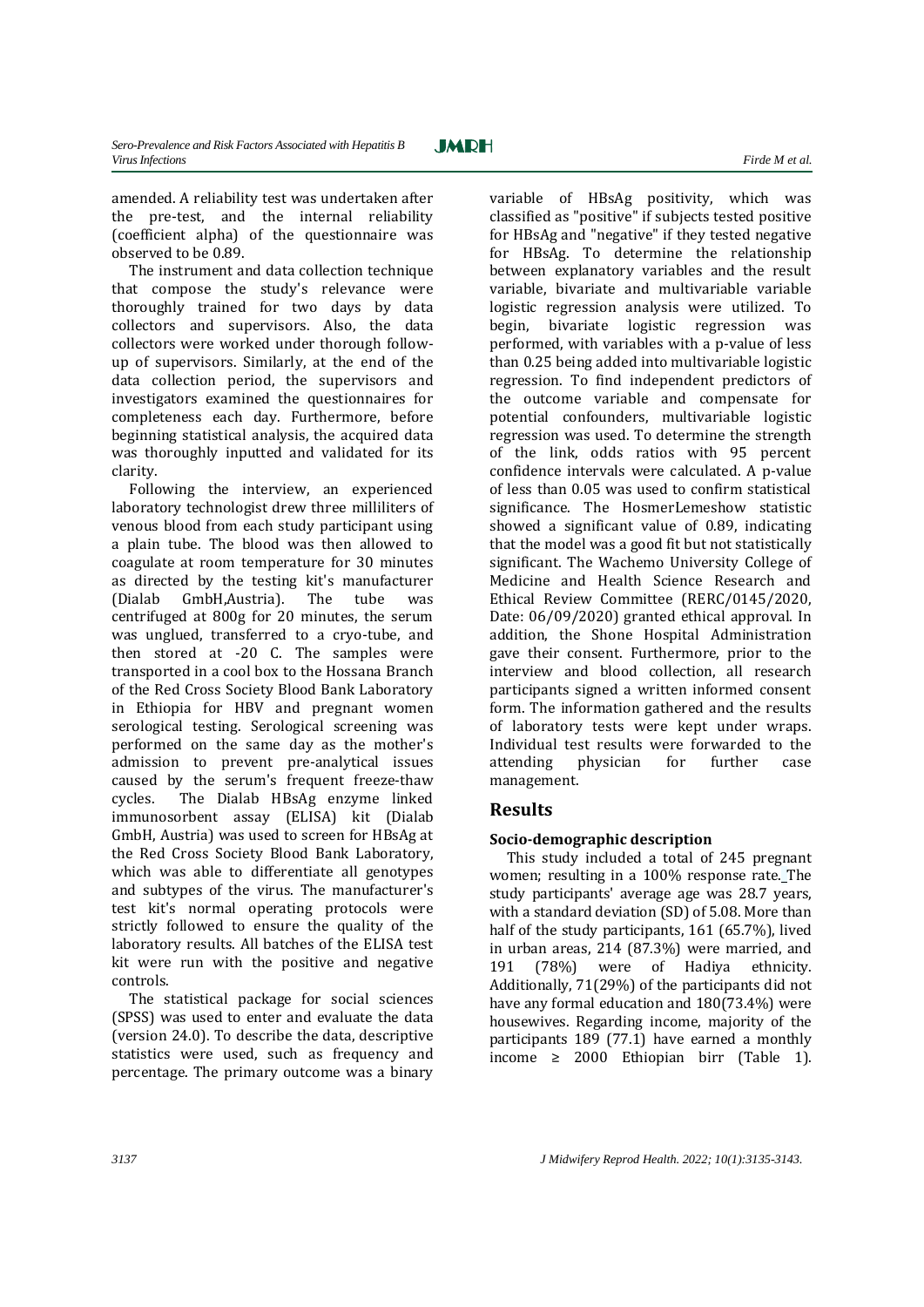amended. A reliability test was undertaken after the pre-test, and the internal reliability (coefficient alpha) of the questionnaire was observed to be 0.89.

The instrument and data collection technique that compose the study's relevance were thoroughly trained for two days by data collectors and supervisors. Also, the data collectors were worked under thorough followup of supervisors. Similarly, at the end of the data collection period, the supervisors and investigators examined the questionnaires for completeness each day. Furthermore, before beginning statistical analysis, the acquired data was thoroughly inputted and validated for its clarity.

Following the interview, an experienced laboratory technologist drew three milliliters of venous blood from each study participant using a plain tube. The blood was then allowed to coagulate at room temperature for 30 minutes as directed by the testing kit's manufacturer (Dialab GmbH,Austria). The tube was centrifuged at 800g for 20 minutes, the serum was unglued, transferred to a cryo-tube, and then stored at -20 C. The samples were transported in a cool box to the Hossana Branch of the Red Cross Society Blood Bank Laboratory in Ethiopia for HBV and pregnant women serological testing. Serological screening was performed on the same day as the mother's admission to prevent pre-analytical issues caused by the serum's frequent freeze-thaw cycles. The Dialab HBsAg enzyme linked immunosorbent assay (ELISA) kit (Dialab GmbH, Austria) was used to screen for HBsAg at the Red Cross Society Blood Bank Laboratory, which was able to differentiate all genotypes and subtypes of the virus. The manufacturer's test kit's normal operating protocols were strictly followed to ensure the quality of the laboratory results. All batches of the ELISA test kit were run with the positive and negative controls.

The statistical package for social sciences (SPSS) was used to enter and evaluate the data (version 24.0). To describe the data, descriptive statistics were used, such as frequency and percentage. The primary outcome was a binary

variable of HBsAg positivity, which was classified as "positive" if subjects tested positive for HBsAg and "negative" if they tested negative for HBsAg. To determine the relationship between explanatory variables and the result variable, bivariate and multivariable variable logistic regression analysis were utilized. To begin, bivariate logistic regression was performed, with variables with a p-value of less than 0.25 being added into multivariable logistic regression. To find independent predictors of the outcome variable and compensate for potential confounders, multivariable logistic regression was used. To determine the strength of the link, odds ratios with 95 percent confidence intervals were calculated. A p-value of less than 0.05 was used to confirm statistical significance. The HosmerLemeshow statistic showed a significant value of 0.89, indicating that the model was a good fit but not statistically significant. The Wachemo University College of Medicine and Health Science Research and Ethical Review Committee (RERC/0145/2020, Date: 06/09/2020) granted ethical approval. In addition, the Shone Hospital Administration gave their consent. Furthermore, prior to the interview and blood collection, all research participants signed a written informed consent form. The information gathered and the results of laboratory tests were kept under wraps. Individual test results were forwarded to the attending physician for further case management.

## **Results**

## **Socio-demographic description**

This study included a total of 245 pregnant women; resulting in a 100% response rate. The study participants' average age was 28.7 years, with a standard deviation (SD) of 5.08. More than half of the study participants, 161 (65.7%), lived in urban areas, 214 (87.3%) were married, and 191 (78%) were of Hadiya ethnicity. Additionally, 71(29%) of the participants did not have any formal education and 180(73.4%) were housewives. Regarding income, majority of the participants 189 (77.1) have earned a monthly income ≥ 2000 Ethiopian birr (Table 1).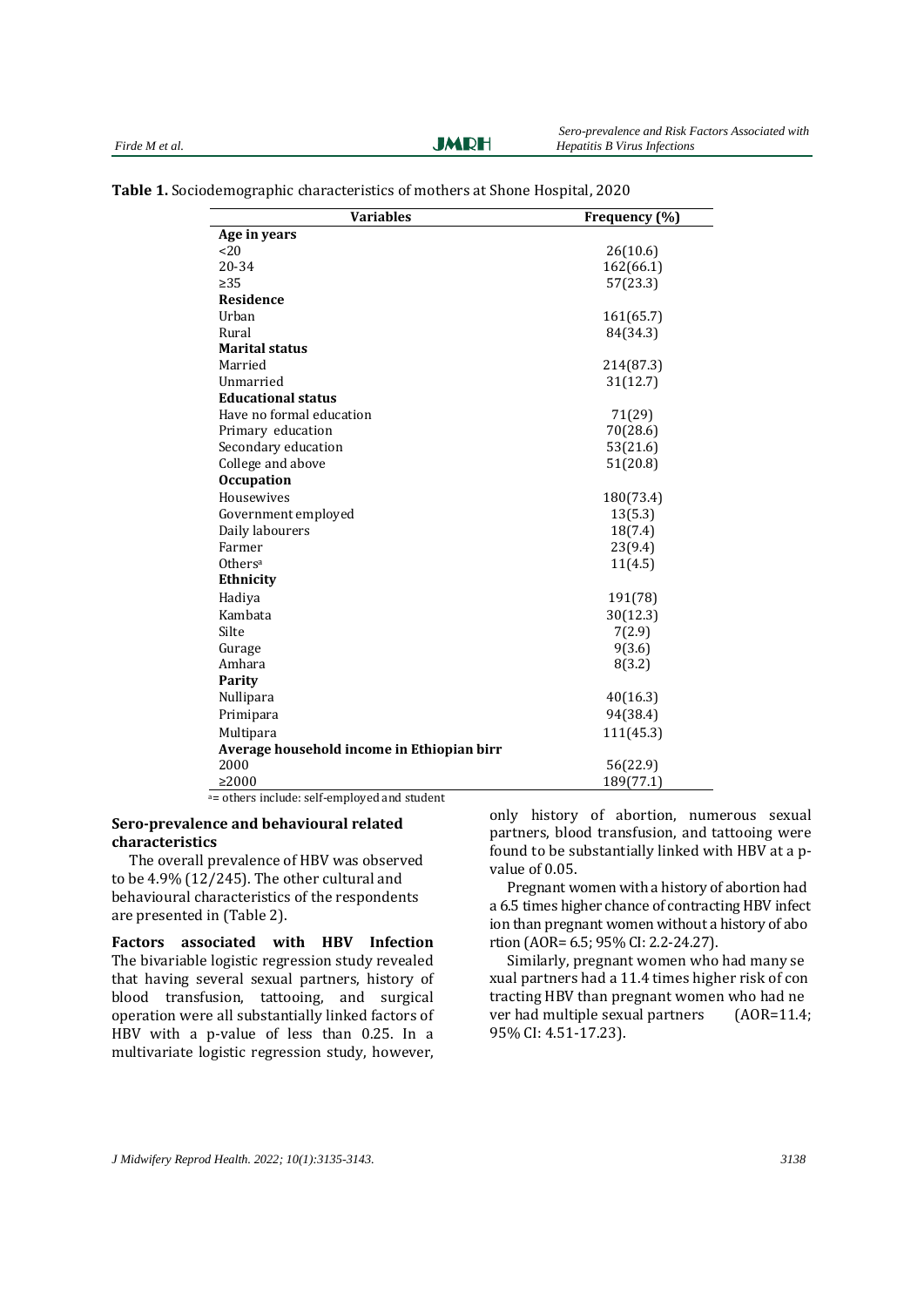**JMRH** 

| <b>Variables</b>                           | Frequency (%) |  |  |
|--------------------------------------------|---------------|--|--|
| Age in years                               |               |  |  |
| <20                                        | 26(10.6)      |  |  |
| 20-34                                      | 162(66.1)     |  |  |
| $\geq 35$                                  | 57(23.3)      |  |  |
| Residence                                  |               |  |  |
| Urban                                      | 161(65.7)     |  |  |
| Rural                                      | 84(34.3)      |  |  |
| <b>Marital status</b>                      |               |  |  |
| Married                                    | 214(87.3)     |  |  |
| Unmarried                                  | 31(12.7)      |  |  |
| <b>Educational status</b>                  |               |  |  |
| Have no formal education                   | 71(29)        |  |  |
| Primary education                          | 70(28.6)      |  |  |
| Secondary education                        | 53(21.6)      |  |  |
| College and above                          | 51(20.8)      |  |  |
| <b>Occupation</b>                          |               |  |  |
| Housewives                                 | 180(73.4)     |  |  |
| Government employed                        | 13(5.3)       |  |  |
| Daily labourers                            | 18(7.4)       |  |  |
| Farmer                                     | 23(9.4)       |  |  |
| Others <sup>a</sup>                        | 11(4.5)       |  |  |
| Ethnicity                                  |               |  |  |
| Hadiya                                     | 191(78)       |  |  |
| Kambata                                    | 30(12.3)      |  |  |
| Silte                                      | 7(2.9)        |  |  |
| Gurage                                     | 9(3.6)        |  |  |
| Amhara                                     | 8(3.2)        |  |  |
| <b>Parity</b>                              |               |  |  |
| Nullipara                                  | 40(16.3)      |  |  |
| Primipara                                  | 94(38.4)      |  |  |
| Multipara                                  | 111(45.3)     |  |  |
| Average household income in Ethiopian birr |               |  |  |
| 2000                                       | 56(22.9)      |  |  |
| $\geq 2000$                                | 189(77.1)     |  |  |

**Table 1.** Sociodemographic characteristics of mothers at Shone Hospital, 2020

<sup>a</sup>= others include: self-employed and student

#### **Sero-prevalence and behavioural related characteristics**

The overall prevalence of HBV was observed to be 4.9% (12/245). The other cultural and behavioural characteristics of the respondents are presented in (Table 2).

**Factors associated with HBV Infection** The bivariable logistic regression study revealed that having several sexual partners, history of blood transfusion, tattooing, and surgical operation were all substantially linked factors of HBV with a p-value of less than 0.25. In a multivariate logistic regression study, however,

only history of abortion, numerous sexual partners, blood transfusion, and tattooing were found to be substantially linked with HBV at a pvalue of 0.05.

Pregnant women with a history of abortion had a 6.5 times higher chance of contracting HBV infect ion than pregnant women without a history of abo rtion (AOR= 6.5; 95% CI: 2.2-24.27).

Similarly, pregnant women who had many se xual partners had a 11.4 times higher risk of con tracting HBV than pregnant women who had ne ver had multiple sexual partners (AOR=11.4; 95% CI: 4.51-17.23).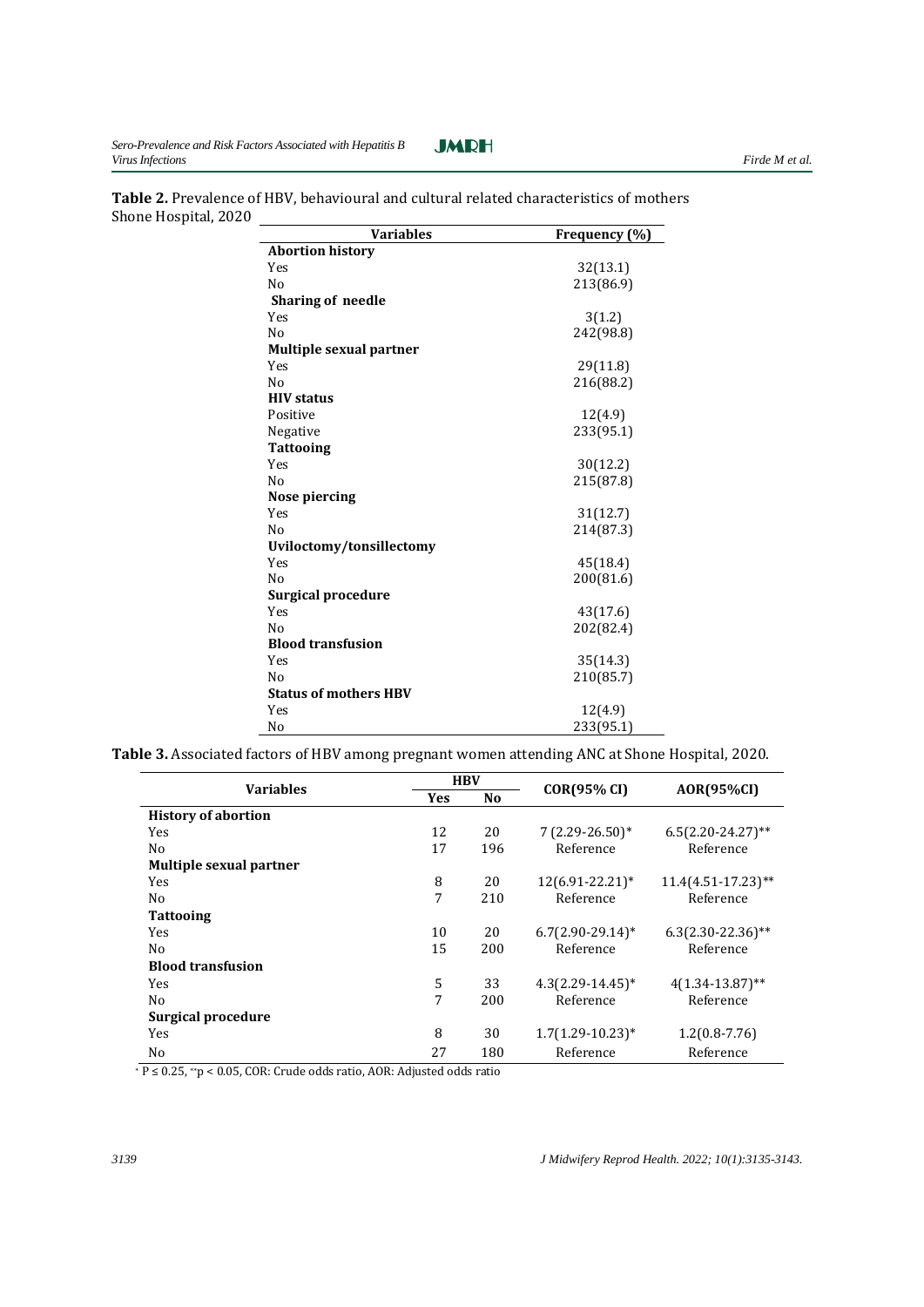$\overline{a}$ 



| <b>Variables</b>               | Frequency (%) |
|--------------------------------|---------------|
| <b>Abortion history</b>        |               |
| Yes                            | 32(13.1)      |
| No                             | 213(86.9)     |
| <b>Sharing of needle</b>       |               |
| Yes                            | 3(1.2)        |
| N <sub>0</sub>                 | 242(98.8)     |
| <b>Multiple sexual partner</b> |               |
| Yes                            | 29(11.8)      |
| N <sub>0</sub>                 | 216(88.2)     |
| <b>HIV</b> status              |               |
| Positive                       | 12(4.9)       |
| Negative                       | 233(95.1)     |
| <b>Tattooing</b>               |               |
| Yes                            | 30(12.2)      |
| N <sub>0</sub>                 | 215(87.8)     |
| Nose piercing                  |               |
| Yes                            | 31(12.7)      |
| N <sub>0</sub>                 | 214(87.3)     |
| Uviloctomy/tonsillectomy       |               |
| Yes                            | 45(18.4)      |
| N <sub>0</sub>                 | 200(81.6)     |
| <b>Surgical procedure</b>      |               |
| Yes                            | 43(17.6)      |
| N <sub>0</sub>                 | 202(82.4)     |
| <b>Blood transfusion</b>       |               |
| Yes                            | 35(14.3)      |
| No                             | 210(85.7)     |
| <b>Status of mothers HBV</b>   |               |
| Yes                            | 12(4.9)       |
| No                             | 233(95.1)     |

**Table 2.** Prevalence of HBV, behavioural and cultural related characteristics of mothers Shone Hospital, 2020

**Table 3.** Associated factors of HBV among pregnant women attending ANC at Shone Hospital, 2020.

| <b>Variables</b>           | <b>HBV</b> |                |                     | <b>AOR(95%CI)</b>     |
|----------------------------|------------|----------------|---------------------|-----------------------|
|                            | <b>Yes</b> | N <sub>0</sub> | <b>COR(95% CI)</b>  |                       |
| <b>History of abortion</b> |            |                |                     |                       |
| Yes                        | 12         | 20             | $7(2.29-26.50)$ *   | $6.5(2.20-24.27)$ **  |
| No                         | 17         | 196            | Reference           | Reference             |
| Multiple sexual partner    |            |                |                     |                       |
| Yes                        | 8          | 20             | 12(6.91-22.21)*     | $11.4(4.51-17.23)$ ** |
| N <sub>0</sub>             | 7          | 210            | Reference           | Reference             |
| <b>Tattooing</b>           |            |                |                     |                       |
| Yes                        | 10         | 20             | $6.7(2.90-29.14)$ * | $6.3(2.30-22.36)$ **  |
| N <sub>0</sub>             | 15         | 200            | Reference           | Reference             |
| <b>Blood transfusion</b>   |            |                |                     |                       |
| Yes                        | 5          | 33             | $4.3(2.29-14.45)^*$ | $4(1.34-13.87)$ **    |
| No                         | 7          | 200            | Reference           | Reference             |
| Surgical procedure         |            |                |                     |                       |
| Yes                        | 8          | 30             | $1.7(1.29-10.23)^*$ | $1.2(0.8-7.76)$       |
| No                         | 27         | 180            | Reference           | Reference             |

<sup>∗</sup> P ≤ 0.25, ∗∗p < 0.05, COR: Crude odds ratio, AOR: Adjusted odds ratio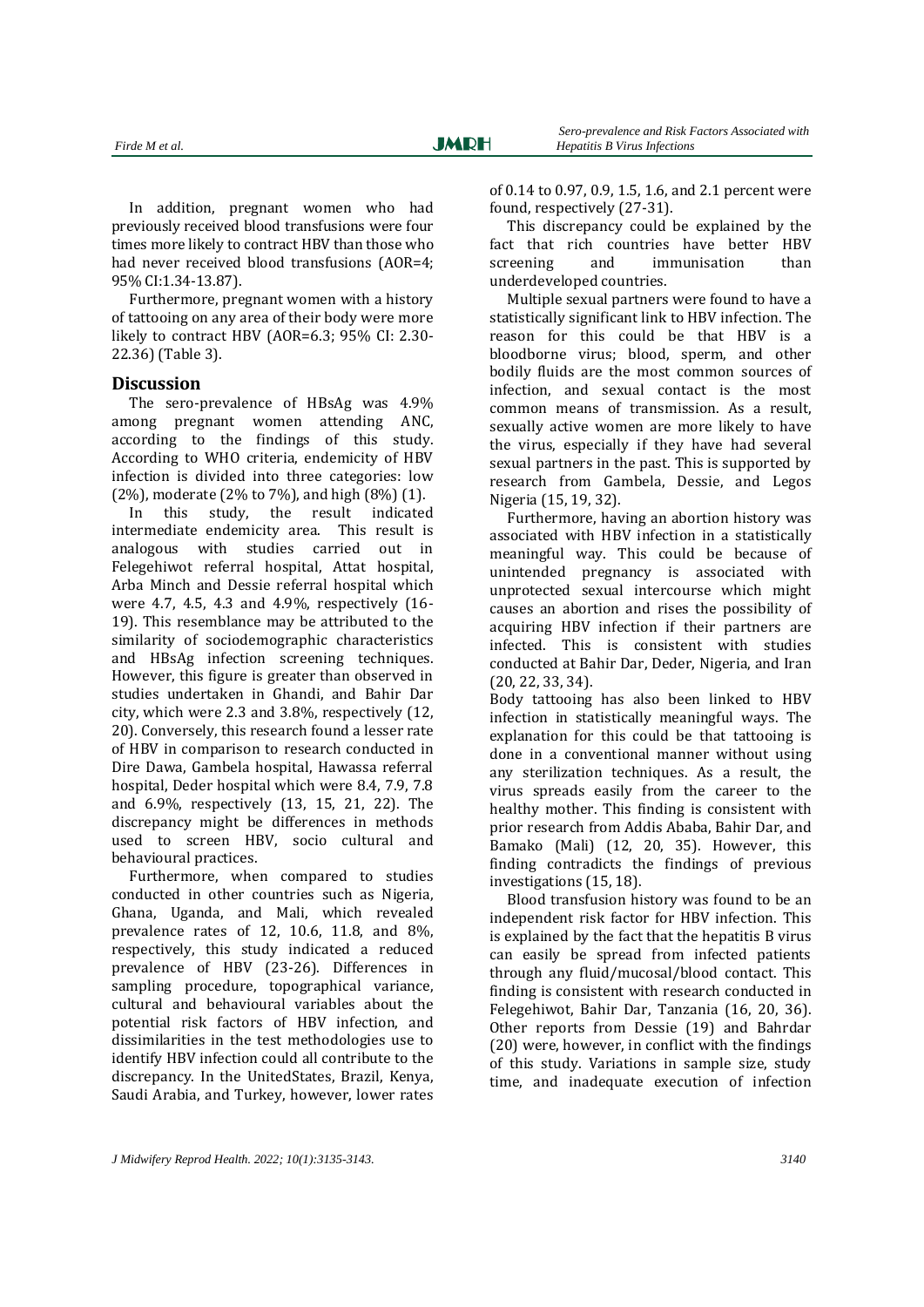In addition, pregnant women who had previously received blood transfusions were four times more likely to contract HBV than those who had never received blood transfusions (AOR=4; 95% CI:1.34-13.87).

Furthermore, pregnant women with a history of tattooing on any area of their body were more likely to contract HBV (AOR=6.3; 95% CI: 2.30- 22.36) (Table 3).

#### **Discussion**

The sero-prevalence of HBsAg was 4.9% among pregnant women attending ANC, according to the findings of this study. According to WHO criteria, endemicity of HBV infection is divided into three categories: low (2%), moderate (2% to 7%), and high (8%) (1).

In this study, the result indicated intermediate endemicity area. This result is analogous with studies carried out in Felegehiwot referral hospital, Attat hospital, Arba Minch and Dessie referral hospital which were 4.7, 4.5, 4.3 and 4.9%, respectively (16- 19). This resemblance may be attributed to the similarity of sociodemographic characteristics and HBsAg infection screening techniques. However, this figure is greater than observed in studies undertaken in Ghandi, and Bahir Dar city, which were 2.3 and 3.8%, respectively (12, 20). Conversely, this research found a lesser rate of HBV in comparison to research conducted in Dire Dawa, Gambela hospital, Hawassa referral hospital, Deder hospital which were 8.4, 7.9, 7.8 and 6.9%, respectively (13, 15, 21, 22). The discrepancy might be differences in methods used to screen HBV, socio cultural and behavioural practices.

Furthermore, when compared to studies conducted in other countries such as Nigeria, Ghana, Uganda, and Mali, which revealed prevalence rates of 12, 10.6, 11.8, and 8%, respectively, this study indicated a reduced prevalence of HBV (23-26). Differences in sampling procedure, topographical variance, cultural and behavioural variables about the potential risk factors of HBV infection, and dissimilarities in the test methodologies use to identify HBV infection could all contribute to the discrepancy. In the UnitedStates, Brazil, Kenya, Saudi Arabia, and Turkey, however, lower rates

of 0.14 to 0.97, 0.9, 1.5, 1.6, and 2.1 percent were found, respectively (27-31).

This discrepancy could be explained by the fact that rich countries have better HBV screening and immunisation than underdeveloped countries.

Multiple sexual partners were found to have a statistically significant link to HBV infection. The reason for this could be that HBV is a bloodborne virus; blood, sperm, and other bodily fluids are the most common sources of infection, and sexual contact is the most common means of transmission. As a result, sexually active women are more likely to have the virus, especially if they have had several sexual partners in the past. This is supported by research from Gambela, Dessie, and Legos Nigeria (15, 19, 32).

Furthermore, having an abortion history was associated with HBV infection in a statistically meaningful way. This could be because of unintended pregnancy is associated with unprotected sexual intercourse which might causes an abortion and rises the possibility of acquiring HBV infection if their partners are infected. This is consistent with studies conducted at Bahir Dar, Deder, Nigeria, and Iran (20, 22, 33, 34).

Body tattooing has also been linked to HBV infection in statistically meaningful ways. The explanation for this could be that tattooing is done in a conventional manner without using any sterilization techniques. As a result, the virus spreads easily from the career to the healthy mother. This finding is consistent with prior research from Addis Ababa, Bahir Dar, and Bamako (Mali) (12, 20, 35). However, this finding contradicts the findings of previous investigations (15, 18).

Blood transfusion history was found to be an independent risk factor for HBV infection. This is explained by the fact that the hepatitis B virus can easily be spread from infected patients through any fluid/mucosal/blood contact. This finding is consistent with research conducted in Felegehiwot, Bahir Dar, Tanzania (16, 20, 36). Other reports from Dessie (19) and Bahrdar (20) were, however, in conflict with the findings of this study. Variations in sample size, study time, and inadequate execution of infection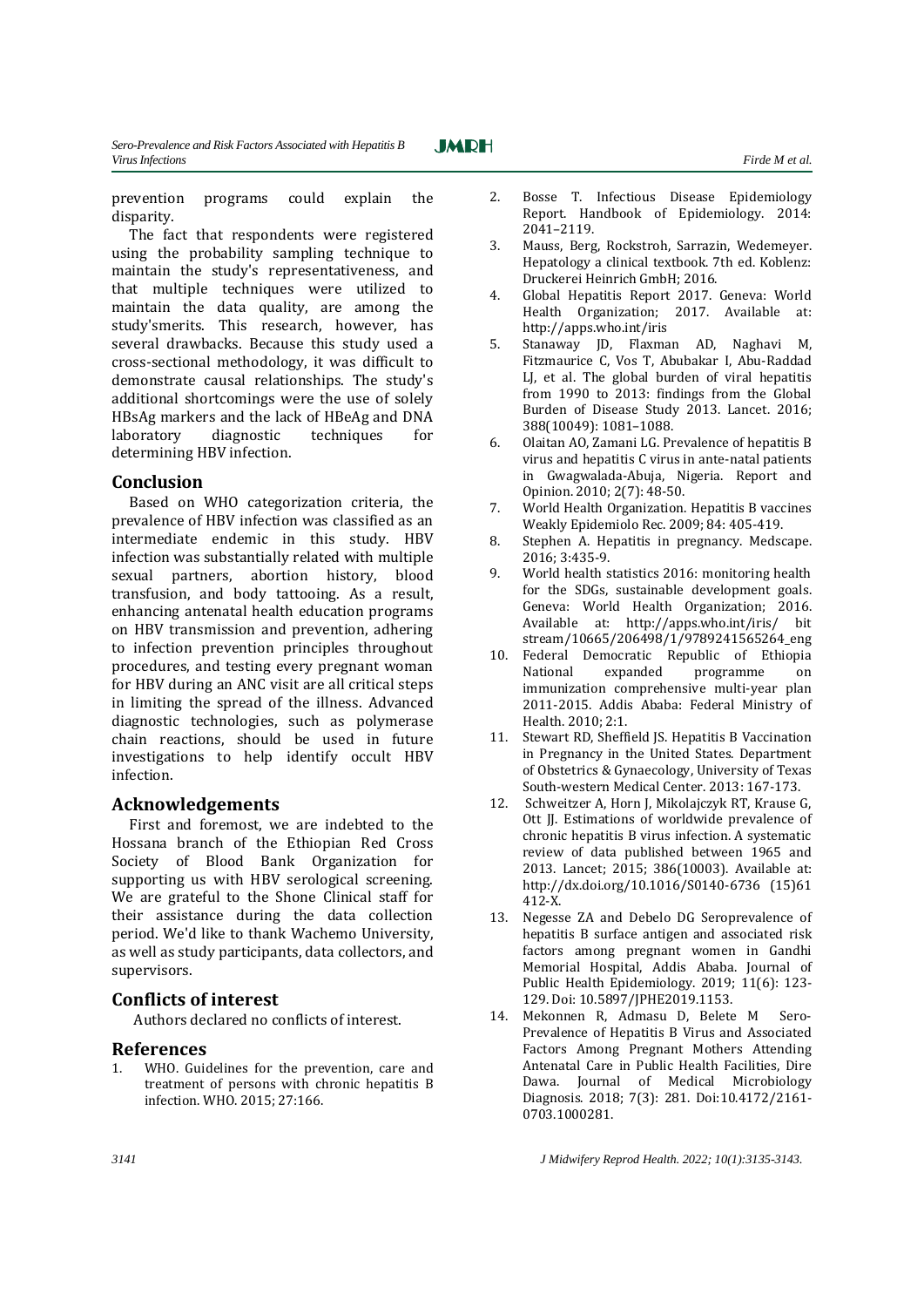prevention programs could explain the

**JMRH** 

disparity. The fact that respondents were registered using the probability sampling technique to maintain the study's representativeness, and that multiple techniques were utilized to maintain the data quality, are among the study'smerits. This research, however, has several drawbacks. Because this study used a cross-sectional methodology, it was difficult to demonstrate causal relationships. The study's additional shortcomings were the use of solely HBsAg markers and the lack of HBeAg and DNA laboratory diagnostic techniques for determining HBV infection.

#### **Conclusion**

Based on WHO categorization criteria, the prevalence of HBV infection was classified as an intermediate endemic in this study. HBV infection was substantially related with multiple sexual partners, abortion history, blood transfusion, and body tattooing. As a result, enhancing antenatal health education programs on HBV transmission and prevention, adhering to infection prevention principles throughout procedures, and testing every pregnant woman for HBV during an ANC visit are all critical steps in limiting the spread of the illness. Advanced diagnostic technologies, such as polymerase chain reactions, should be used in future investigations to help identify occult HBV infection.

## **Acknowledgements**

First and foremost, we are indebted to the Hossana branch of the Ethiopian Red Cross Society of Blood Bank Organization for supporting us with HBV serological screening. We are grateful to the Shone Clinical staff for their assistance during the data collection period. We'd like to thank Wachemo University, as well as study participants, data collectors, and supervisors.

## **Conflicts of interest**

Authors declared no conflicts of interest.

## **References**

1. WHO. Guidelines for the prevention, care and treatment of persons with chronic hepatitis B infection. WHO. 2015; 27:166.

- 
- 2. Bosse T. Infectious Disease Epidemiology Report. Handbook of Epidemiology. 2014: 2041–2119.
- 3. Mauss, Berg, Rockstroh, Sarrazin, Wedemeyer. Hepatology a clinical textbook. 7th ed. Koblenz: Druckerei Heinrich GmbH; 2016.
- 4. Global Hepatitis Report 2017. Geneva: World Health Organization; 2017. Available at: <http://apps.who.int/iris>
- 5. Stanaway JD, Flaxman AD, Naghavi M, Fitzmaurice C, Vos T, Abubakar I, Abu-Raddad LJ, et al. The global burden of viral hepatitis from 1990 to 2013: findings from the Global Burden of Disease Study 2013. Lancet. 2016; 388(10049): 1081–1088.
- 6. Olaitan AO, Zamani LG. Prevalence of hepatitis B virus and hepatitis C virus in ante-natal patients in Gwagwalada-Abuja, Nigeria. Report and Opinion. 2010; 2(7): 48-50.
- 7. World Health Organization. Hepatitis B vaccines Weakly Epidemiolo Rec. 2009; 84: 405-419.
- 8. Stephen A. Hepatitis in pregnancy. Medscape. 2016; 3:435-9.
- 9. World health statistics 2016: monitoring health for the SDGs, sustainable development goals. Geneva: World Health Organization; 2016. Available at: http://apps.who.int/iris/ bit stream/10665/206498/1/9789241565264\_eng
- 10. Federal Democratic Republic of Ethiopia National expanded programme on immunization comprehensive multi-year plan 2011-2015. Addis Ababa: Federal Ministry of Health. 2010; 2:1.
- 11. Stewart RD, Sheffield JS. Hepatitis B Vaccination in Pregnancy in the United States. Department of Obstetrics & Gynaecology, University of Texas South-western Medical Center. 2013: 167-173.
- 12. Schweitzer A, Horn J, Mikolajczyk RT, Krause G, Ott JJ. Estimations of worldwide prevalence of chronic hepatitis B virus infection. A systematic review of data published between 1965 and 2013. Lancet; 2015; 386(10003). Available at: [http://dx.doi.org/10.1016/S0140-6736 \(15\)](http://dx.doi.org/10.1016/S0140-6736%20(15)61 412-X.
- 13. Negesse ZA and Debelo DG Seroprevalence of hepatitis B surface antigen and associated risk factors among pregnant women in Gandhi Memorial Hospital, Addis Ababa. Journal of Public Health Epidemiology. 2019; 11(6): 123- 129. Doi: 10.5897/JPHE2019.1153.
- 14. Mekonnen R, Admasu D, Belete M Sero-Prevalence of Hepatitis B Virus and Associated Factors Among Pregnant Mothers Attending Antenatal Care in Public Health Facilities, Dire Dawa. Journal of Medical Microbiology Diagnosis. 2018; 7(3): 281. Doi:10.4172/2161- 0703.1000281.

*3141 J Midwifery Reprod Health. 2022; 10(1):3135-3143.*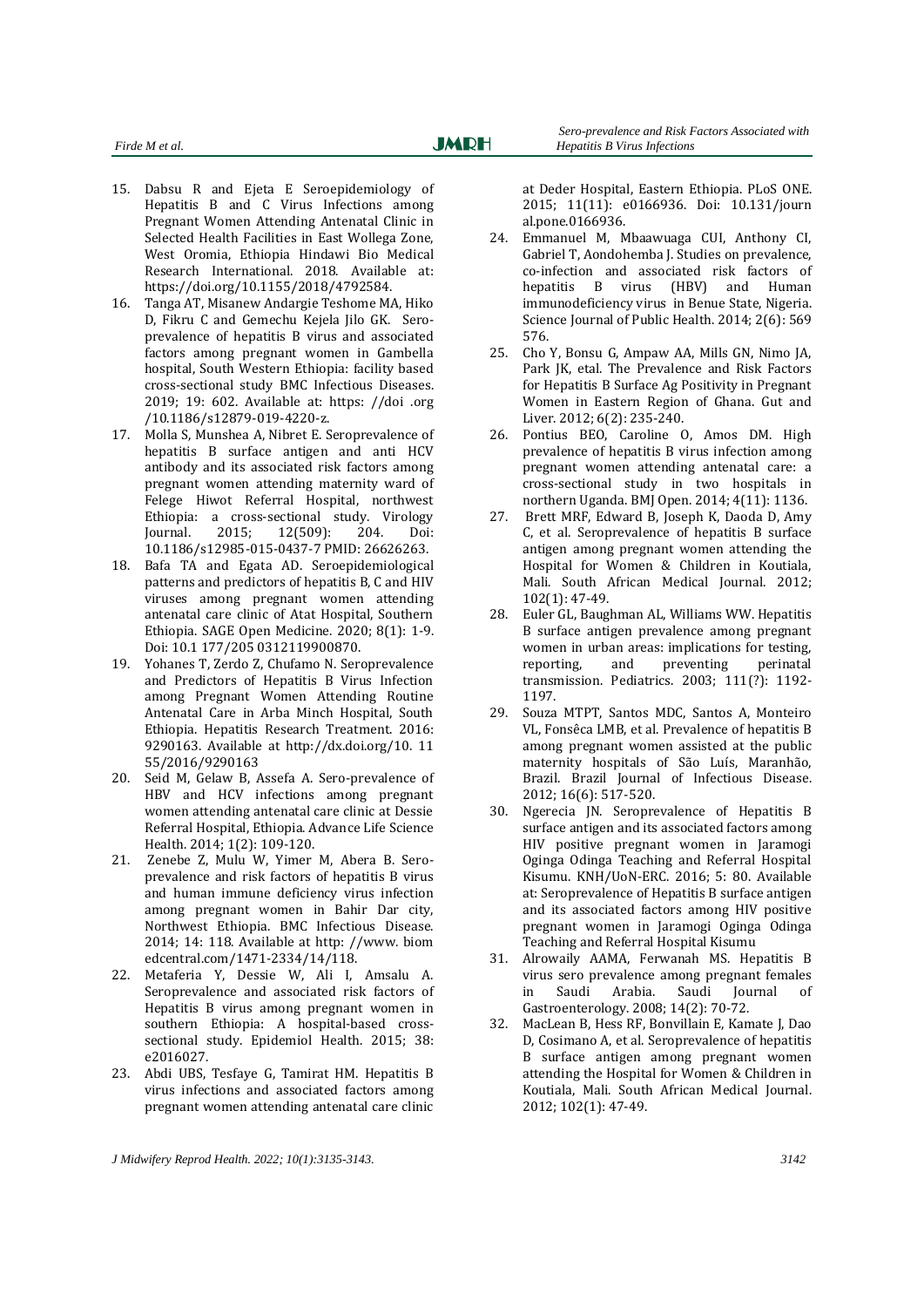- 15. Dabsu R and Ejeta E Seroepidemiology of Hepatitis B and C Virus Infections among Pregnant Women Attending Antenatal Clinic in Selected Health Facilities in East Wollega Zone, West Oromia, Ethiopia Hindawi Bio Medical Research International. 2018. Available at: <https://doi.org/10.1155/2018/4792584.>
- 16. Tanga AT, Misanew Andargie Teshome MA, Hiko D, Fikru C and Gemechu Kejela Jilo GK. Seroprevalence of hepatitis B virus and associated factors among pregnant women in Gambella hospital, South Western Ethiopia: facility based cross-sectional study BMC Infectious Diseases. 2019; 19: 602. Available at: [https: //doi](https://doi.org/10.1186/s12879-019-4220-z) .org [/10.1186/s12879-019-4220-z.](https://doi.org/10.1186/s12879-019-4220-z)
- 17. Molla S, Munshea A, Nibret E. Seroprevalence of hepatitis B surface antigen and anti HCV antibody and its associated risk factors among pregnant women attending maternity ward of Felege Hiwot Referral Hospital, northwest Ethiopia: a cross-sectional study. Virology Journal. 2015; 12(509): 204. Doi: 10.1186/s12985-015-0437-7 PMID: 26626263.
- 18. Bafa TA and Egata AD. Seroepidemiological patterns and predictors of hepatitis B, C and HIV viruses among pregnant women attending antenatal care clinic of Atat Hospital, Southern Ethiopia. SAGE Open Medicine. 2020; 8(1): 1-9. Doi: 10.1 177/205 0312119900870.
- 19. Yohanes T, Zerdo Z, Chufamo N. Seroprevalence and Predictors of Hepatitis B Virus Infection among Pregnant Women Attending Routine Antenatal Care in Arba Minch Hospital, South Ethiopia. Hepatitis Research Treatment. 2016: 9290163. Available at http://dx.doi.org/10. 11 55/2016/9290163
- 20. Seid M, Gelaw B, Assefa A. Sero-prevalence of HBV and HCV infections among pregnant women attending antenatal care clinic at Dessie Referral Hospital, Ethiopia. Advance Life Science Health. 2014; 1(2): 109-120.
- 21. Zenebe Z, Mulu W, Yimer M, Abera B. Seroprevalence and risk factors of hepatitis B virus and human immune deficiency virus infection among pregnant women in Bahir Dar city, Northwest Ethiopia. BMC Infectious Disease. 2014; 14: 118. Available at [http: //www.](http://www.biomedcentral.com/1471-2334/14/118) biom [edcentral.com/1471-2334/14/118.](http://www.biomedcentral.com/1471-2334/14/118)
- 22. Metaferia Y, Dessie W, Ali I, Amsalu A. Seroprevalence and associated risk factors of Hepatitis B virus among pregnant women in southern Ethiopia: A hospital-based crosssectional study. Epidemiol Health. 2015; 38: e2016027.
- 23. Abdi UBS, Tesfaye G, Tamirat HM. Hepatitis B virus infections and associated factors among pregnant women attending antenatal care clinic

at Deder Hospital, Eastern Ethiopia. PLoS ONE. 2015; 11(11): e0166936. Doi: 10.131/journ al.pone.0166936.

- 24. Emmanuel M, Mbaawuaga CUI, Anthony CI, Gabriel T, Aondohemba J. Studies on prevalence, co-infection and associated risk factors of hepatitis B virus (HBV) and Human immunodeficiency virus in Benue State, Nigeria. Science Journal of Public Health. 2014; 2(6): 569 576.
- 25. Cho Y, Bonsu G, Ampaw AA, Mills GN, Nimo JA, Park JK, etal. The Prevalence and Risk Factors for Hepatitis B Surface Ag Positivity in Pregnant Women in Eastern Region of Ghana. Gut and Liver. 2012; 6(2): 235-240.
- 26. Pontius BEO, Caroline O, Amos DM. High prevalence of hepatitis B virus infection among pregnant women attending antenatal care: a cross-sectional study in two hospitals in northern Uganda. BMJ Open. 2014; 4(11): 1136.
- 27. Brett MRF, Edward B, Joseph K, Daoda D, Amy C, et al. Seroprevalence of hepatitis B surface antigen among pregnant women attending the Hospital for Women & Children in Koutiala, Mali. South African Medical Journal. 2012; 102(1): 47-49.
- 28. Euler GL, Baughman AL, Williams WW. Hepatitis B surface antigen prevalence among pregnant women in urban areas: implications for testing, reporting, and preventing perinatal transmission. Pediatrics. 2003; 111(?): 1192- 1197.
- 29. Souza MTPT, Santos MDC, Santos A, Monteiro VL, Fonsêca LMB, et al. Prevalence of hepatitis B among pregnant women assisted at the public maternity hospitals of São Luís, Maranhão, Brazil. Brazil Journal of Infectious Disease. 2012; 16(6): 517-520.
- 30. Ngerecia JN. Seroprevalence of Hepatitis B surface antigen and its associated factors among HIV positive pregnant women in Jaramogi Oginga Odinga Teaching and Referral Hospital Kisumu. KNH/UoN-ERC. 2016; 5: 80. Available at: Seroprevalence of Hepatitis B surface antigen and its associated factors among HIV positive pregnant women in Jaramogi Oginga Odinga Teaching and Referral Hospital Kisumu
- 31. Alrowaily AAMA, Ferwanah MS. Hepatitis B virus sero prevalence among pregnant females in Saudi Arabia. Saudi Journal of Gastroenterology. 2008; 14(2): 70-72.
- 32. MacLean B, Hess RF, Bonvillain E, Kamate J, Dao D, Cosimano A, et al. Seroprevalence of hepatitis B surface antigen among pregnant women attending the Hospital for Women & Children in Koutiala, Mali. South African Medical Journal. 2012; 102(1): 47-49.